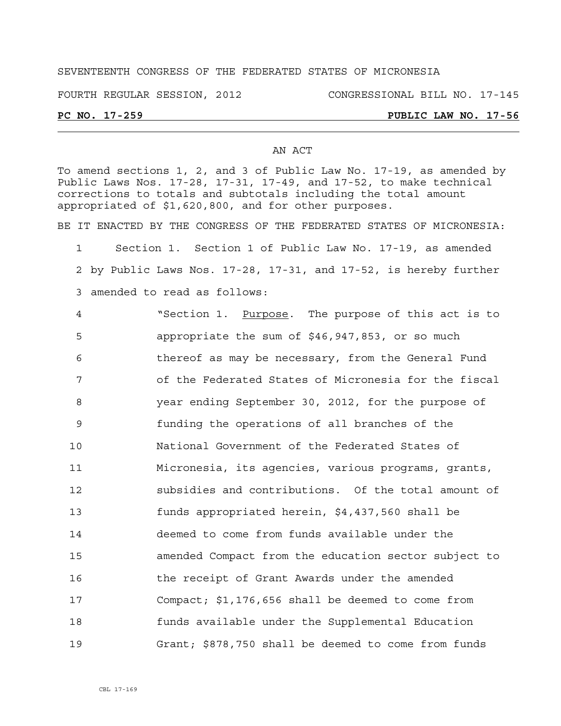#### SEVENTEENTH CONGRESS OF THE FEDERATED STATES OF MICRONESIA

FOURTH REGULAR SESSION, 2012 CONGRESSIONAL BILL NO. 17-145

#### **PC NO. 17-259 PUBLIC LAW NO. 17-56**

#### AN ACT

To amend sections 1, 2, and 3 of Public Law No. 17-19, as amended by Public Laws Nos. 17-28, 17-31, 17-49, and 17-52, to make technical corrections to totals and subtotals including the total amount appropriated of \$1,620,800, and for other purposes.

BE IT ENACTED BY THE CONGRESS OF THE FEDERATED STATES OF MICRONESIA:

1 Section 1. Section 1 of Public Law No. 17-19, as amended 2 by Public Laws Nos. 17-28, 17-31, and 17-52, is hereby further 3 amended to read as follows:

4 The Section 1. Purpose. The purpose of this act is to 5 appropriate the sum of \$46,947,853, or so much 6 thereof as may be necessary, from the General Fund 7 of the Federated States of Micronesia for the fiscal 8 year ending September 30, 2012, for the purpose of 9 funding the operations of all branches of the 10 National Government of the Federated States of 11 Micronesia, its agencies, various programs, grants, 12 subsidies and contributions. Of the total amount of 13 funds appropriated herein, \$4,437,560 shall be 14 deemed to come from funds available under the 15 amended Compact from the education sector subject to 16 the receipt of Grant Awards under the amended 17 Compact; \$1,176,656 shall be deemed to come from 18 funds available under the Supplemental Education 19 Grant; \$878,750 shall be deemed to come from funds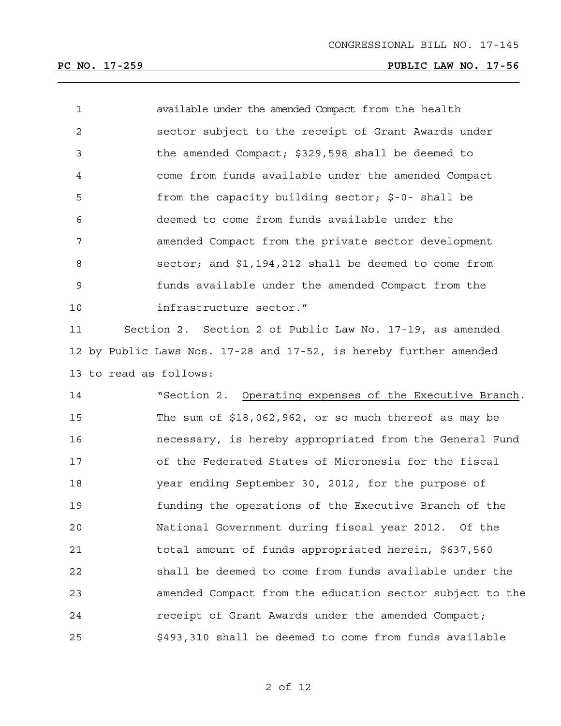| $\mathbf 1$ |                        | available under the amended Compact from the health               |
|-------------|------------------------|-------------------------------------------------------------------|
| 2           |                        | sector subject to the receipt of Grant Awards under               |
| 3           |                        | the amended Compact; \$329,598 shall be deemed to                 |
| 4           |                        | come from funds available under the amended Compact               |
| 5           |                        | from the capacity building sector; $$-0-$ shall be                |
| 6           |                        | deemed to come from funds available under the                     |
| 7           |                        | amended Compact from the private sector development               |
| 8           |                        | sector; and $$1,194,212$ shall be deemed to come from             |
| 9           |                        | funds available under the amended Compact from the                |
| 10          |                        | infrastructure sector."                                           |
| 11          |                        | Section 2. Section 2 of Public Law No. 17-19, as amended          |
|             |                        | 12 by Public Laws Nos. 17-28 and 17-52, is hereby further amended |
|             | 13 to read as follows: |                                                                   |
| 14          |                        | "Section 2. Operating expenses of the Executive Branch.           |
| 15          |                        | The sum of $$18,062,962$ , or so much thereof as may be           |
| 16          |                        | necessary, is hereby appropriated from the General Fund           |
| 17          |                        | of the Federated States of Micronesia for the fiscal              |
| 18          |                        | year ending September 30, 2012, for the purpose of                |
| 19          |                        | funding the operations of the Executive Branch of the             |
| 20          |                        | National Government during fiscal year 2012. Of the               |
| 21          |                        | total amount of funds appropriated herein, \$637,560              |
| 22          |                        | shall be deemed to come from funds available under the            |
| 23          |                        | amended Compact from the education sector subject to the          |
| 24          |                        | receipt of Grant Awards under the amended Compact;                |
| 25          |                        | \$493,310 shall be deemed to come from funds available            |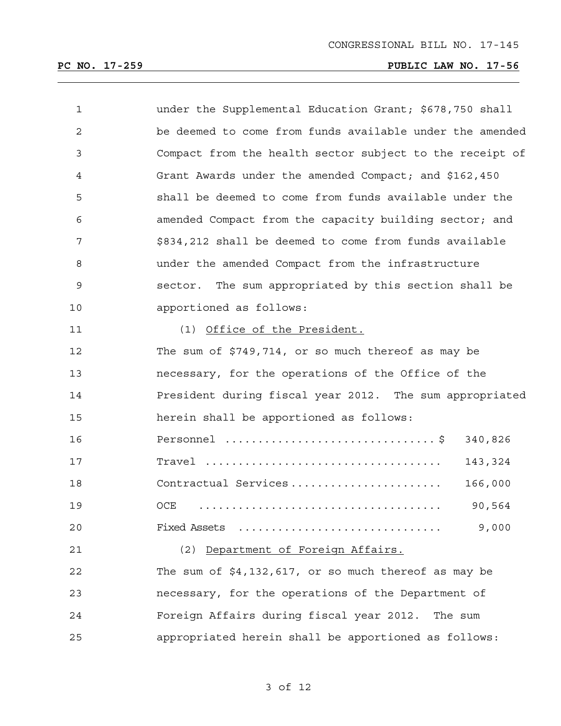| $\mathbf{1}$   | under the Supplemental Education Grant; \$678,750 shall                   |
|----------------|---------------------------------------------------------------------------|
| $\mathbf{2}$   | be deemed to come from funds available under the amended                  |
| $\mathfrak{Z}$ | Compact from the health sector subject to the receipt of                  |
| 4              | Grant Awards under the amended Compact; and \$162,450                     |
| 5              | shall be deemed to come from funds available under the                    |
| 6              | amended Compact from the capacity building sector; and                    |
| 7              | \$834,212 shall be deemed to come from funds available                    |
| $\,8\,$        | under the amended Compact from the infrastructure                         |
| $\mathsf 9$    | sector. The sum appropriated by this section shall be                     |
| 10             | apportioned as follows:                                                   |
| 11             | (1) Office of the President.                                              |
| 12             | The sum of \$749,714, or so much thereof as may be                        |
| 13             | necessary, for the operations of the Office of the                        |
| 14             | President during fiscal year 2012. The sum appropriated                   |
| 15             | herein shall be apportioned as follows:                                   |
| 16             | Personnel $\dots\dots\dots\dots\dots\dots\dots\dots\dots\dots$<br>340,826 |
| 17             | 143,324                                                                   |
| 18             | Contractual Services<br>166,000                                           |
| 19             | 90,564<br>OCE                                                             |
| 20             | 9,000<br>Fixed Assets                                                     |
| 21             | (2) Department of Foreign Affairs.                                        |
| 22             | The sum of $$4,132,617$ , or so much thereof as may be                    |
| 23             | necessary, for the operations of the Department of                        |
| 24             | Foreign Affairs during fiscal year 2012. The sum                          |
| 25             | appropriated herein shall be apportioned as follows:                      |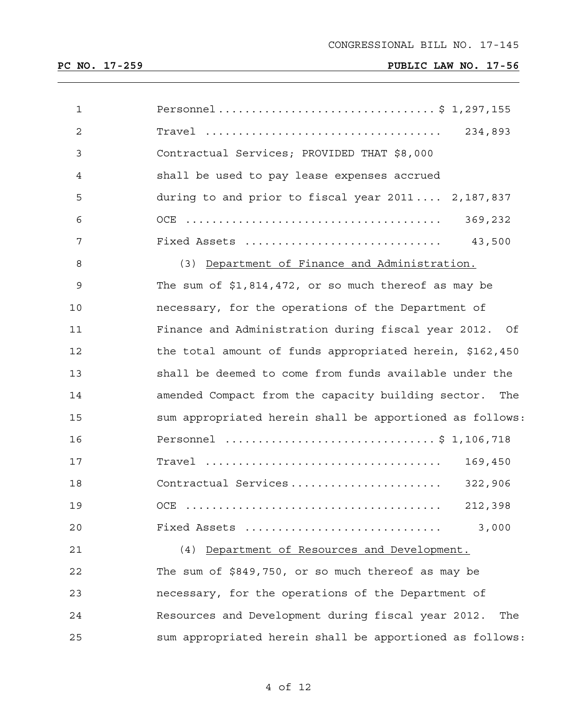| $\mathbf{1}$   | Personnel  \$ 1,297,155                                   |
|----------------|-----------------------------------------------------------|
| $\overline{c}$ | 234,893                                                   |
| 3              | Contractual Services; PROVIDED THAT \$8,000               |
| $\overline{4}$ | shall be used to pay lease expenses accrued               |
| 5              | during to and prior to fiscal year $2011$ 2, 187, 837     |
| 6              | 369,232                                                   |
| 7              | 43,500<br>Fixed Assets                                    |
| 8              | (3) Department of Finance and Administration.             |
| $\mathsf 9$    | The sum of $$1,814,472$ , or so much thereof as may be    |
| 10             | necessary, for the operations of the Department of        |
| 11             | Finance and Administration during fiscal year 2012. Of    |
| 12             | the total amount of funds appropriated herein, \$162,450  |
| 13             | shall be deemed to come from funds available under the    |
| 14             | amended Compact from the capacity building sector. The    |
| 15             | sum appropriated herein shall be apportioned as follows:  |
| 16             | Personnel \$ 1,106,718                                    |
| 17             | 169,450                                                   |
| 18             | Contractual Services<br>322,906                           |
| 19             | 212,398                                                   |
| 20             | 3,000<br>Fixed Assets                                     |
| 21             | (4) Department of Resources and Development.              |
| 22             | The sum of \$849,750, or so much thereof as may be        |
| 23             | necessary, for the operations of the Department of        |
| 24             | Resources and Development during fiscal year 2012.<br>The |
| 25             | sum appropriated herein shall be apportioned as follows:  |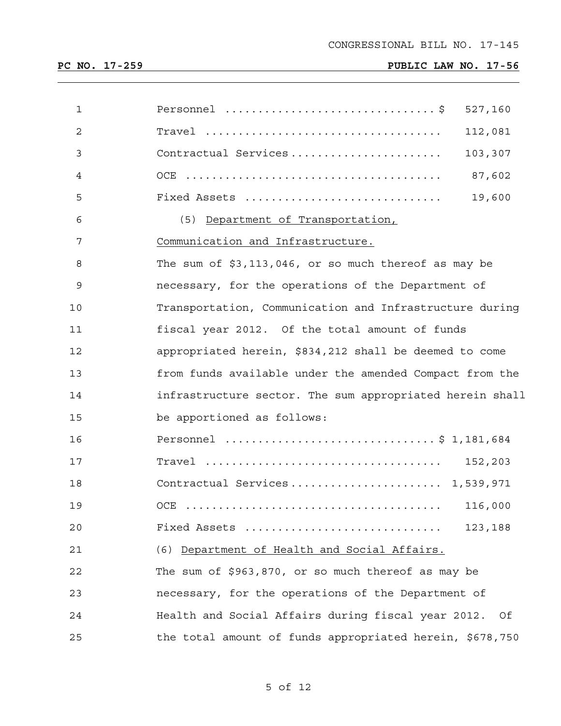| $\mathbf 1$ | 527,160                                                                                     |        |  |  |  |  |  |
|-------------|---------------------------------------------------------------------------------------------|--------|--|--|--|--|--|
| $\sqrt{2}$  | 112,081<br>$Travel \dots \dots \dots \dots \dots \dots \dots \dots \dots \dots \dots \dots$ |        |  |  |  |  |  |
| 3           | Contractual Services<br>103,307                                                             |        |  |  |  |  |  |
| 4           |                                                                                             | 87,602 |  |  |  |  |  |
| 5           | Fixed Assets                                                                                | 19,600 |  |  |  |  |  |
| 6           | (5) Department of Transportation,                                                           |        |  |  |  |  |  |
| 7           | Communication and Infrastructure.                                                           |        |  |  |  |  |  |
| 8           | The sum of $$3,113,046$ , or so much thereof as may be                                      |        |  |  |  |  |  |
| 9           | necessary, for the operations of the Department of                                          |        |  |  |  |  |  |
| 10          | Transportation, Communication and Infrastructure during                                     |        |  |  |  |  |  |
| 11          | fiscal year 2012. Of the total amount of funds                                              |        |  |  |  |  |  |
| 12          | appropriated herein, \$834,212 shall be deemed to come                                      |        |  |  |  |  |  |
| 13          | from funds available under the amended Compact from the                                     |        |  |  |  |  |  |
| 14          | infrastructure sector. The sum appropriated herein shall                                    |        |  |  |  |  |  |
| 15          | be apportioned as follows:                                                                  |        |  |  |  |  |  |
| 16          | Personnel \$ 1,181,684                                                                      |        |  |  |  |  |  |
| 17          | 152,203                                                                                     |        |  |  |  |  |  |
| 18          | Contractual Services 1,539,971                                                              |        |  |  |  |  |  |
| 19          | 116,000                                                                                     |        |  |  |  |  |  |
| 20          | Fixed Assets<br>123,188                                                                     |        |  |  |  |  |  |
| 21          | (6) Department of Health and Social Affairs.                                                |        |  |  |  |  |  |
| 22          | The sum of \$963,870, or so much thereof as may be                                          |        |  |  |  |  |  |
| 23          | necessary, for the operations of the Department of                                          |        |  |  |  |  |  |
| 24          | Health and Social Affairs during fiscal year 2012. Of                                       |        |  |  |  |  |  |
| 25          | the total amount of funds appropriated herein, \$678,750                                    |        |  |  |  |  |  |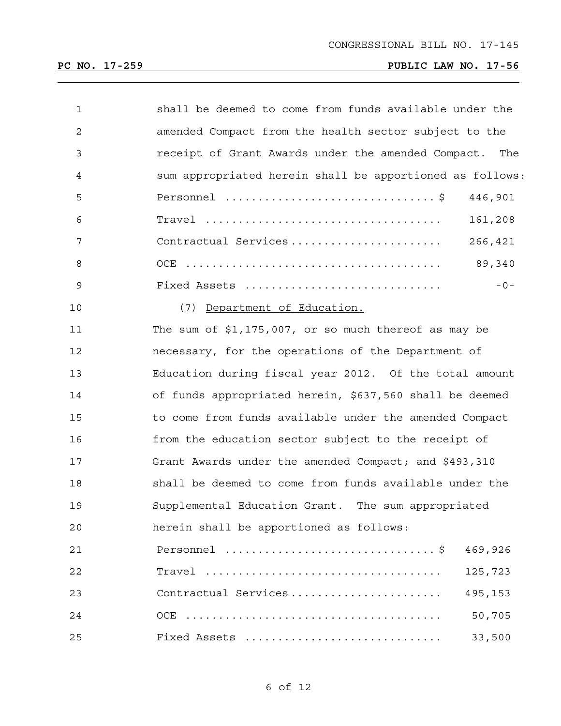| $\mathbf{1}$ | shall be deemed to come from funds available under the   |
|--------------|----------------------------------------------------------|
| 2            | amended Compact from the health sector subject to the    |
| 3            | receipt of Grant Awards under the amended Compact. The   |
| 4            | sum appropriated herein shall be apportioned as follows: |
| 5            | 446,901                                                  |
| 6            | 161,208                                                  |
| 7            | Contractual Services<br>266,421                          |
| 8            | 89,340                                                   |
| 9            | $-0-$<br>Fixed Assets                                    |
| 10           | (7) Department of Education.                             |
| 11           | The sum of $$1,175,007$ , or so much thereof as may be   |
| 12           | necessary, for the operations of the Department of       |
| 13           | Education during fiscal year 2012. Of the total amount   |
| 14           | of funds appropriated herein, \$637,560 shall be deemed  |
| 15           | to come from funds available under the amended Compact   |
| 16           | from the education sector subject to the receipt of      |
| 17           | Grant Awards under the amended Compact; and \$493,310    |
| 18           | shall be deemed to come from funds available under the   |
| 19           | Supplemental Education Grant. The sum appropriated       |
| 20           | herein shall be apportioned as follows:                  |
| 21           | 469,926                                                  |
| 22           | 125,723                                                  |
| 23           | Contractual Services<br>495,153                          |
| 24           | 50,705                                                   |
| 25           | Fixed Assets<br>33,500                                   |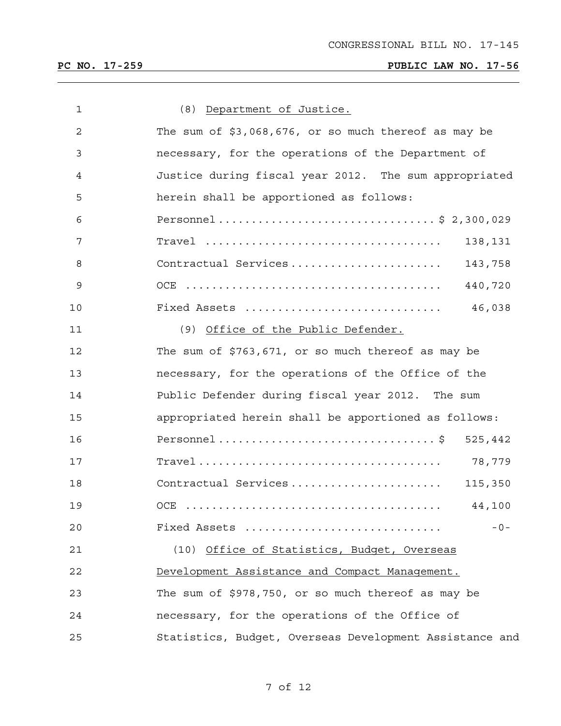| $\mathbf 1$ | (8) Department of Justice.                                                                   |
|-------------|----------------------------------------------------------------------------------------------|
| 2           | The sum of \$3,068,676, or so much thereof as may be                                         |
| 3           | necessary, for the operations of the Department of                                           |
| 4           | Justice during fiscal year 2012. The sum appropriated                                        |
| 5           | herein shall be apportioned as follows:                                                      |
| 6           | Personnel \$ 2,300,029                                                                       |
| 7           | 138,131                                                                                      |
| 8           | Contractual Services<br>143,758                                                              |
| 9           | 440,720                                                                                      |
| 10          | Fixed Assets $\dots\dots\dots\dots\dots\dots\dots\dots\dots$ 46,038                          |
| 11          | (9) Office of the Public Defender.                                                           |
| 12          | The sum of \$763,671, or so much thereof as may be                                           |
| 13          | necessary, for the operations of the Office of the                                           |
| 14          | Public Defender during fiscal year 2012. The sum                                             |
| 15          | appropriated herein shall be apportioned as follows:                                         |
| 16          | 525,442                                                                                      |
| 17          | 78,779<br>$\texttt{Travel}\dots\dots\dots\dots\dots\dots\dots\dots\dots\dots\dots\dots\dots$ |
| 18          | Contractual Services<br>115,350                                                              |
| 19          | 44,100                                                                                       |
| 20          | Fixed Assets<br>$-0-$                                                                        |
| 21          | (10) Office of Statistics, Budget, Overseas                                                  |
| 22          | Development Assistance and Compact Management.                                               |
| 23          | The sum of \$978,750, or so much thereof as may be                                           |
| 24          | necessary, for the operations of the Office of                                               |
| 25          | Statistics, Budget, Overseas Development Assistance and                                      |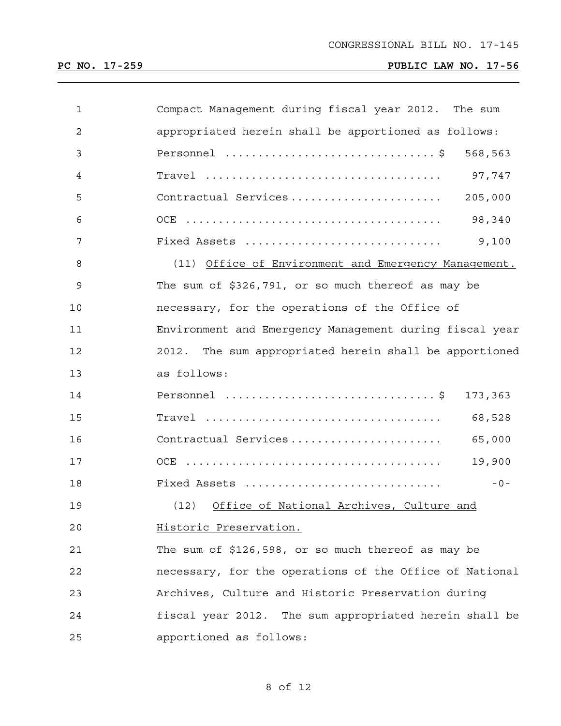| $\mathbf{1}$   | Compact Management during fiscal year 2012. The sum                       |
|----------------|---------------------------------------------------------------------------|
| $\overline{2}$ | appropriated herein shall be apportioned as follows:                      |
| 3              | Personnel $\dots\dots\dots\dots\dots\dots\dots\dots\dots\dots$<br>568,563 |
| 4              | 97,747                                                                    |
| 5              | 205,000<br>Contractual Services                                           |
| 6              | 98,340                                                                    |
| 7              | 9,100<br>Fixed Assets                                                     |
| 8              | (11) Office of Environment and Emergency Management.                      |
| 9              | The sum of \$326,791, or so much thereof as may be                        |
| 10             | necessary, for the operations of the Office of                            |
| 11             | Environment and Emergency Management during fiscal year                   |
| 12             | 2012. The sum appropriated herein shall be apportioned                    |
| 13             | as follows:                                                               |
| 14             | Personnel $\dots\dots\dots\dots\dots\dots\dots\dots\dots\dots$<br>173,363 |
| 15             | 68,528                                                                    |
| 16             | Contractual Services<br>65,000                                            |
| 17             | 19,900                                                                    |
| 18             | $-0-$<br>Fixed Assets                                                     |
| 19             | Office of National Archives, Culture and<br>(12)                          |
| 20             | Historic Preservation.                                                    |
| 21             | The sum of \$126,598, or so much thereof as may be                        |
| 22             | necessary, for the operations of the Office of National                   |
| 23             | Archives, Culture and Historic Preservation during                        |
| 24             | fiscal year 2012. The sum appropriated herein shall be                    |
| 25             | apportioned as follows:                                                   |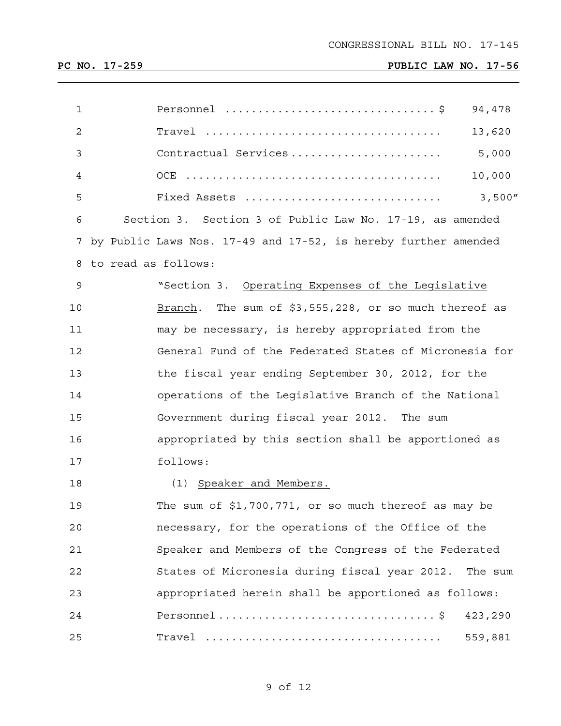#### CONGRESSIONAL BILL NO. 17-145

| $\mathbf 1$    |                                                         |                                                                | 94,478  |  |  |  |  |
|----------------|---------------------------------------------------------|----------------------------------------------------------------|---------|--|--|--|--|
| $\overline{2}$ |                                                         |                                                                | 13,620  |  |  |  |  |
| 3              |                                                         | Contractual Services                                           | 5,000   |  |  |  |  |
| 4              |                                                         |                                                                | 10,000  |  |  |  |  |
| 5              |                                                         | Fixed Assets                                                   | 3,500'' |  |  |  |  |
| 6              |                                                         | Section 3. Section 3 of Public Law No. 17-19, as amended       |         |  |  |  |  |
| 7              |                                                         | by Public Laws Nos. 17-49 and 17-52, is hereby further amended |         |  |  |  |  |
|                | 8 to read as follows:                                   |                                                                |         |  |  |  |  |
| $\mathsf 9$    | "Section 3. Operating Expenses of the Legislative       |                                                                |         |  |  |  |  |
| 10             | Branch. The sum of $$3,555,228$ , or so much thereof as |                                                                |         |  |  |  |  |
| 11             | may be necessary, is hereby appropriated from the       |                                                                |         |  |  |  |  |
| 12             | General Fund of the Federated States of Micronesia for  |                                                                |         |  |  |  |  |
| 13             | the fiscal year ending September 30, 2012, for the      |                                                                |         |  |  |  |  |
| 14             | operations of the Legislative Branch of the National    |                                                                |         |  |  |  |  |
| 15             | Government during fiscal year 2012. The sum             |                                                                |         |  |  |  |  |
| 16             | appropriated by this section shall be apportioned as    |                                                                |         |  |  |  |  |
| 17             |                                                         | follows:                                                       |         |  |  |  |  |
| 18             |                                                         | (1) Speaker and Members.                                       |         |  |  |  |  |
| 19             |                                                         | The sum of \$1,700,771, or so much thereof as may be           |         |  |  |  |  |
| 20             |                                                         | necessary, for the operations of the Office of the             |         |  |  |  |  |
| 21             |                                                         | Speaker and Members of the Congress of the Federated           |         |  |  |  |  |
| 22             |                                                         | States of Micronesia during fiscal year 2012. The sum          |         |  |  |  |  |
| 23             | appropriated herein shall be apportioned as follows:    |                                                                |         |  |  |  |  |
| 24             |                                                         |                                                                | 423,290 |  |  |  |  |
| 25             |                                                         |                                                                | 559,881 |  |  |  |  |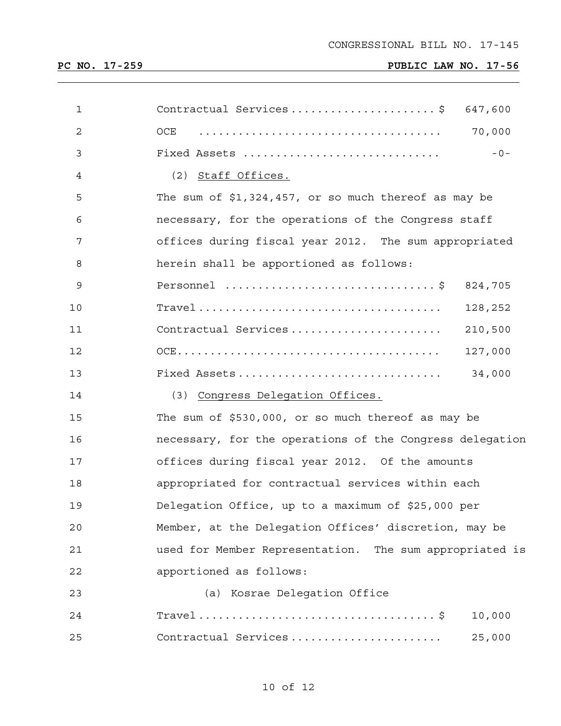#### CONGRESSIONAL BILL NO. 17-145

| 1              | Contractual Services\$<br>647,600                        |
|----------------|----------------------------------------------------------|
| $\overline{2}$ | 70,000<br>OCE                                            |
| 3              | Fixed Assets<br>$-0-$                                    |
| 4              | (2) Staff Offices.                                       |
| 5              | The sum of \$1,324,457, or so much thereof as may be     |
| 6              | necessary, for the operations of the Congress staff      |
| 7              | offices during fiscal year 2012. The sum appropriated    |
| 8              | herein shall be apportioned as follows:                  |
| 9              | Personnel \$ 824,705                                     |
| 10             | 128,252                                                  |
| 11             | 210,500<br>Contractual Services                          |
| 12             | 127,000                                                  |
| 13             | 34,000                                                   |
| 14             | (3) Congress Delegation Offices.                         |
| 15             | The sum of \$530,000, or so much thereof as may be       |
| 16             | necessary, for the operations of the Congress delegation |
| 17             | offices during fiscal year 2012. Of the amounts          |
| 18             | appropriated for contractual services within each        |
| 19             | Delegation Office, up to a maximum of \$25,000 per       |
| 20             | Member, at the Delegation Offices' discretion, may be    |
| 21             | used for Member Representation. The sum appropriated is  |
| 22             | apportioned as follows:                                  |
| 23             | (a) Kosrae Delegation Office                             |
| 24             | 10,000                                                   |
| 25             | Contractual Services<br>25,000                           |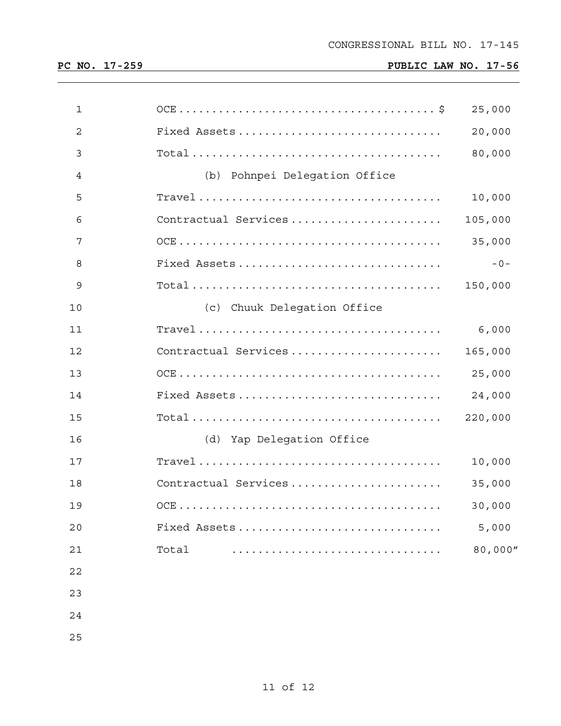| $\mathbf 1$    |                                                                                        | 25,000  |
|----------------|----------------------------------------------------------------------------------------|---------|
| $\overline{2}$ | Fixed Assets                                                                           | 20,000  |
| 3              |                                                                                        | 80,000  |
| 4              | (b) Pohnpei Delegation Office                                                          |         |
| 5              |                                                                                        | 10,000  |
| 6              | Contractual Services                                                                   | 105,000 |
| 7              |                                                                                        | 35,000  |
| 8              | Fixed Assets                                                                           | $-0-$   |
| 9              |                                                                                        | 150,000 |
| 10             | (c) Chuuk Delegation Office                                                            |         |
| 11             |                                                                                        | 6,000   |
| 12             | Contractual Services                                                                   | 165,000 |
| 13             |                                                                                        | 25,000  |
| 14             | Fixed Assets                                                                           | 24,000  |
| 15             |                                                                                        | 220,000 |
| 16             | (d) Yap Delegation Office                                                              |         |
| 17             | $Travel \dots \dots \dots \dots \dots \dots \dots \dots \dots \dots \dots \dots \dots$ | 10,000  |
| 18             | Contractual Services                                                                   | 35,000  |
| 19             |                                                                                        | 30,000  |
| 20             | Fixed Assets                                                                           | 5,000   |
| 21             | Total                                                                                  | 80,000" |
| 22             |                                                                                        |         |
| 23             |                                                                                        |         |
| 24             |                                                                                        |         |
| 25             |                                                                                        |         |